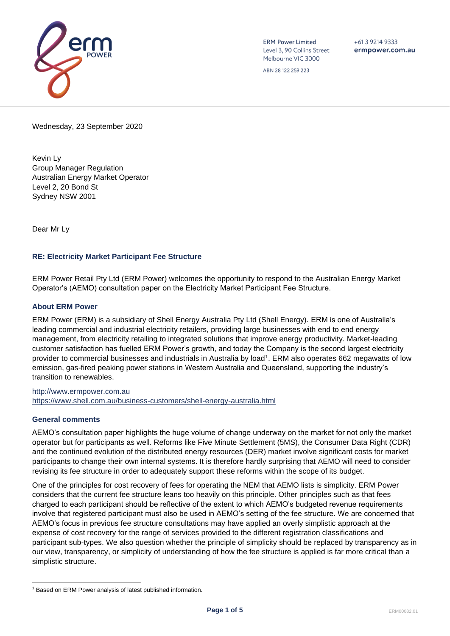

**ERM Power Limited** Level 3, 90 Collins Street Melbourne VIC 3000

 $+61$  3 9214 9333 ermpower.com.au

ABN 28 122 259 223

Wednesday, 23 September 2020

Kevin Ly Group Manager Regulation Australian Energy Market Operator Level 2, 20 Bond St Sydney NSW 2001

Dear Mr Ly

### **RE: Electricity Market Participant Fee Structure**

ERM Power Retail Pty Ltd (ERM Power) welcomes the opportunity to respond to the Australian Energy Market Operator's (AEMO) consultation paper on the Electricity Market Participant Fee Structure.

#### **About ERM Power**

ERM Power (ERM) is a subsidiary of Shell Energy Australia Pty Ltd (Shell Energy). ERM is one of Australia's leading commercial and industrial electricity retailers, providing large businesses with end to end energy management, from electricity retailing to integrated solutions that improve energy productivity. Market-leading customer satisfaction has fuelled ERM Power's growth, and today the Company is the second largest electricity provider to commercial businesses and industrials in Australia by load<sup>1</sup>. ERM also operates 662 megawatts of low emission, gas-fired peaking power stations in Western Australia and Queensland, supporting the industry's transition to renewables.

[http://www.ermpower.com.au](http://www.ermpower.com.au/) <https://www.shell.com.au/business-customers/shell-energy-australia.html>

#### **General comments**

AEMO's consultation paper highlights the huge volume of change underway on the market for not only the market operator but for participants as well. Reforms like Five Minute Settlement (5MS), the Consumer Data Right (CDR) and the continued evolution of the distributed energy resources (DER) market involve significant costs for market participants to change their own internal systems. It is therefore hardly surprising that AEMO will need to consider revising its fee structure in order to adequately support these reforms within the scope of its budget.

One of the principles for cost recovery of fees for operating the NEM that AEMO lists is simplicity. ERM Power considers that the current fee structure leans too heavily on this principle. Other principles such as that fees charged to each participant should be reflective of the extent to which AEMO's budgeted revenue requirements involve that registered participant must also be used in AEMO's setting of the fee structure. We are concerned that AEMO's focus in previous fee structure consultations may have applied an overly simplistic approach at the expense of cost recovery for the range of services provided to the different registration classifications and participant sub-types. We also question whether the principle of simplicity should be replaced by transparency as in our view, transparency, or simplicity of understanding of how the fee structure is applied is far more critical than a simplistic structure.

<sup>&</sup>lt;sup>1</sup> Based on ERM Power analysis of latest published information.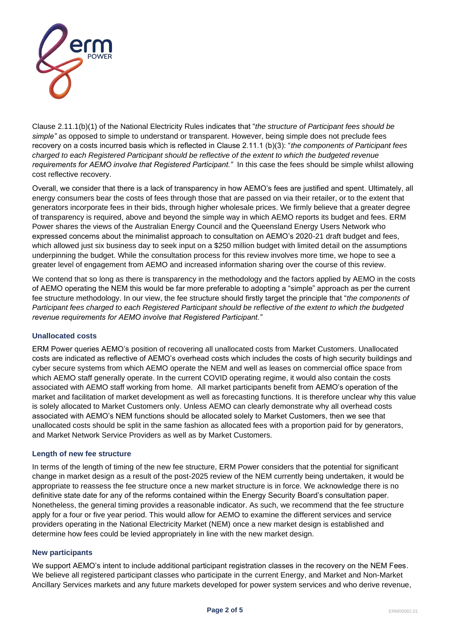

Clause 2.11.1(b)(1) of the National Electricity Rules indicates that "*the structure of Participant fees should be simple"* as opposed to simple to understand or transparent. However, being simple does not preclude fees recovery on a costs incurred basis which is reflected in Clause 2.11.1 (b)(3): "*the components of Participant fees charged to each Registered Participant should be reflective of the extent to which the budgeted revenue requirements for AEMO involve that Registered Participant."* In this case the fees should be simple whilst allowing cost reflective recovery.

Overall, we consider that there is a lack of transparency in how AEMO's fees are justified and spent. Ultimately, all energy consumers bear the costs of fees through those that are passed on via their retailer, or to the extent that generators incorporate fees in their bids, through higher wholesale prices. We firmly believe that a greater degree of transparency is required, above and beyond the simple way in which AEMO reports its budget and fees. ERM Power shares the views of the Australian Energy Council and the Queensland Energy Users Network who expressed concerns about the minimalist approach to consultation on AEMO's 2020-21 draft budget and fees, which allowed just six business day to seek input on a \$250 million budget with limited detail on the assumptions underpinning the budget. While the consultation process for this review involves more time, we hope to see a greater level of engagement from AEMO and increased information sharing over the course of this review.

We contend that so long as there is transparency in the methodology and the factors applied by AEMO in the costs of AEMO operating the NEM this would be far more preferable to adopting a "simple" approach as per the current fee structure methodology. In our view, the fee structure should firstly target the principle that "*the components of Participant fees charged to each Registered Participant should be reflective of the extent to which the budgeted revenue requirements for AEMO involve that Registered Participant."*

### **Unallocated costs**

ERM Power queries AEMO's position of recovering all unallocated costs from Market Customers. Unallocated costs are indicated as reflective of AEMO's overhead costs which includes the costs of high security buildings and cyber secure systems from which AEMO operate the NEM and well as leases on commercial office space from which AEMO staff generally operate. In the current COVID operating regime, it would also contain the costs associated with AEMO staff working from home. All market participants benefit from AEMO's operation of the market and facilitation of market development as well as forecasting functions. It is therefore unclear why this value is solely allocated to Market Customers only. Unless AEMO can clearly demonstrate why all overhead costs associated with AEMO's NEM functions should be allocated solely to Market Customers, then we see that unallocated costs should be split in the same fashion as allocated fees with a proportion paid for by generators, and Market Network Service Providers as well as by Market Customers.

### **Length of new fee structure**

In terms of the length of timing of the new fee structure, ERM Power considers that the potential for significant change in market design as a result of the post-2025 review of the NEM currently being undertaken, it would be appropriate to reassess the fee structure once a new market structure is in force. We acknowledge there is no definitive state date for any of the reforms contained within the Energy Security Board's consultation paper. Nonetheless, the general timing provides a reasonable indicator. As such, we recommend that the fee structure apply for a four or five year period. This would allow for AEMO to examine the different services and service providers operating in the National Electricity Market (NEM) once a new market design is established and determine how fees could be levied appropriately in line with the new market design.

### **New participants**

We support AEMO's intent to include additional participant registration classes in the recovery on the NEM Fees. We believe all registered participant classes who participate in the current Energy, and Market and Non-Market Ancillary Services markets and any future markets developed for power system services and who derive revenue,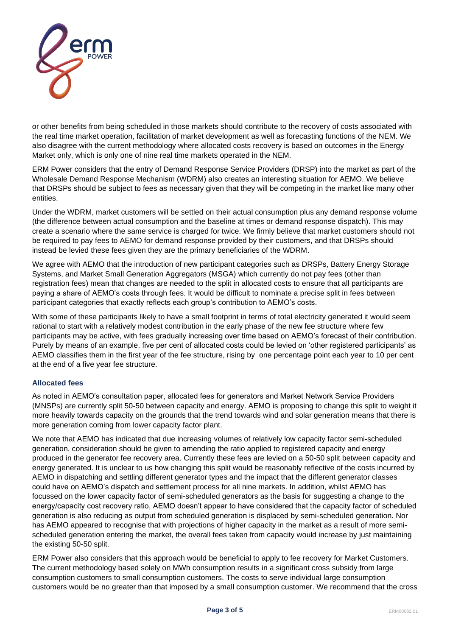

or other benefits from being scheduled in those markets should contribute to the recovery of costs associated with the real time market operation, facilitation of market development as well as forecasting functions of the NEM. We also disagree with the current methodology where allocated costs recovery is based on outcomes in the Energy Market only, which is only one of nine real time markets operated in the NEM.

ERM Power considers that the entry of Demand Response Service Providers (DRSP) into the market as part of the Wholesale Demand Response Mechanism (WDRM) also creates an interesting situation for AEMO. We believe that DRSPs should be subject to fees as necessary given that they will be competing in the market like many other entities.

Under the WDRM, market customers will be settled on their actual consumption plus any demand response volume (the difference between actual consumption and the baseline at times or demand response dispatch). This may create a scenario where the same service is charged for twice. We firmly believe that market customers should not be required to pay fees to AEMO for demand response provided by their customers, and that DRSPs should instead be levied these fees given they are the primary beneficiaries of the WDRM.

We agree with AEMO that the introduction of new participant categories such as DRSPs, Battery Energy Storage Systems, and Market Small Generation Aggregators (MSGA) which currently do not pay fees (other than registration fees) mean that changes are needed to the split in allocated costs to ensure that all participants are paying a share of AEMO's costs through fees. It would be difficult to nominate a precise split in fees between participant categories that exactly reflects each group's contribution to AEMO's costs.

With some of these participants likely to have a small footprint in terms of total electricity generated it would seem rational to start with a relatively modest contribution in the early phase of the new fee structure where few participants may be active, with fees gradually increasing over time based on AEMO's forecast of their contribution. Purely by means of an example, five per cent of allocated costs could be levied on 'other registered participants' as AEMO classifies them in the first year of the fee structure, rising by one percentage point each year to 10 per cent at the end of a five year fee structure.

# **Allocated fees**

As noted in AEMO's consultation paper, allocated fees for generators and Market Network Service Providers (MNSPs) are currently split 50-50 between capacity and energy. AEMO is proposing to change this split to weight it more heavily towards capacity on the grounds that the trend towards wind and solar generation means that there is more generation coming from lower capacity factor plant.

We note that AEMO has indicated that due increasing volumes of relatively low capacity factor semi-scheduled generation, consideration should be given to amending the ratio applied to registered capacity and energy produced in the generator fee recovery area. Currently these fees are levied on a 50-50 split between capacity and energy generated. It is unclear to us how changing this split would be reasonably reflective of the costs incurred by AEMO in dispatching and settling different generator types and the impact that the different generator classes could have on AEMO's dispatch and settlement process for all nine markets. In addition, whilst AEMO has focussed on the lower capacity factor of semi-scheduled generators as the basis for suggesting a change to the energy/capacity cost recovery ratio, AEMO doesn't appear to have considered that the capacity factor of scheduled generation is also reducing as output from scheduled generation is displaced by semi-scheduled generation. Nor has AEMO appeared to recognise that with projections of higher capacity in the market as a result of more semischeduled generation entering the market, the overall fees taken from capacity would increase by just maintaining the existing 50-50 split.

ERM Power also considers that this approach would be beneficial to apply to fee recovery for Market Customers. The current methodology based solely on MWh consumption results in a significant cross subsidy from large consumption customers to small consumption customers. The costs to serve individual large consumption customers would be no greater than that imposed by a small consumption customer. We recommend that the cross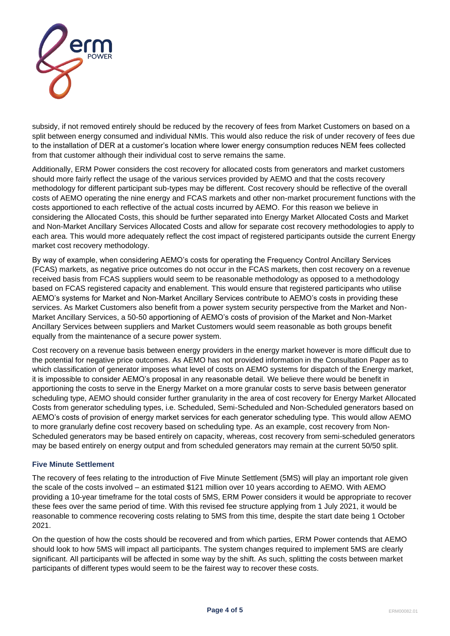

subsidy, if not removed entirely should be reduced by the recovery of fees from Market Customers on based on a split between energy consumed and individual NMIs. This would also reduce the risk of under recovery of fees due to the installation of DER at a customer's location where lower energy consumption reduces NEM fees collected from that customer although their individual cost to serve remains the same.

Additionally, ERM Power considers the cost recovery for allocated costs from generators and market customers should more fairly reflect the usage of the various services provided by AEMO and that the costs recovery methodology for different participant sub-types may be different. Cost recovery should be reflective of the overall costs of AEMO operating the nine energy and FCAS markets and other non-market procurement functions with the costs apportioned to each reflective of the actual costs incurred by AEMO. For this reason we believe in considering the Allocated Costs, this should be further separated into Energy Market Allocated Costs and Market and Non-Market Ancillary Services Allocated Costs and allow for separate cost recovery methodologies to apply to each area. This would more adequately reflect the cost impact of registered participants outside the current Energy market cost recovery methodology.

By way of example, when considering AEMO's costs for operating the Frequency Control Ancillary Services (FCAS) markets, as negative price outcomes do not occur in the FCAS markets, then cost recovery on a revenue received basis from FCAS suppliers would seem to be reasonable methodology as opposed to a methodology based on FCAS registered capacity and enablement. This would ensure that registered participants who utilise AEMO's systems for Market and Non-Market Ancillary Services contribute to AEMO's costs in providing these services. As Market Customers also benefit from a power system security perspective from the Market and Non-Market Ancillary Services, a 50-50 apportioning of AEMO's costs of provision of the Market and Non-Market Ancillary Services between suppliers and Market Customers would seem reasonable as both groups benefit equally from the maintenance of a secure power system.

Cost recovery on a revenue basis between energy providers in the energy market however is more difficult due to the potential for negative price outcomes. As AEMO has not provided information in the Consultation Paper as to which classification of generator imposes what level of costs on AEMO systems for dispatch of the Energy market, it is impossible to consider AEMO's proposal in any reasonable detail. We believe there would be benefit in apportioning the costs to serve in the Energy Market on a more granular costs to serve basis between generator scheduling type, AEMO should consider further granularity in the area of cost recovery for Energy Market Allocated Costs from generator scheduling types, i.e. Scheduled, Semi-Scheduled and Non-Scheduled generators based on AEMO's costs of provision of energy market services for each generator scheduling type. This would allow AEMO to more granularly define cost recovery based on scheduling type. As an example, cost recovery from Non-Scheduled generators may be based entirely on capacity, whereas, cost recovery from semi-scheduled generators may be based entirely on energy output and from scheduled generators may remain at the current 50/50 split.

### **Five Minute Settlement**

The recovery of fees relating to the introduction of Five Minute Settlement (5MS) will play an important role given the scale of the costs involved – an estimated \$121 million over 10 years according to AEMO. With AEMO providing a 10-year timeframe for the total costs of 5MS, ERM Power considers it would be appropriate to recover these fees over the same period of time. With this revised fee structure applying from 1 July 2021, it would be reasonable to commence recovering costs relating to 5MS from this time, despite the start date being 1 October 2021.

On the question of how the costs should be recovered and from which parties, ERM Power contends that AEMO should look to how 5MS will impact all participants. The system changes required to implement 5MS are clearly significant. All participants will be affected in some way by the shift. As such, splitting the costs between market participants of different types would seem to be the fairest way to recover these costs.